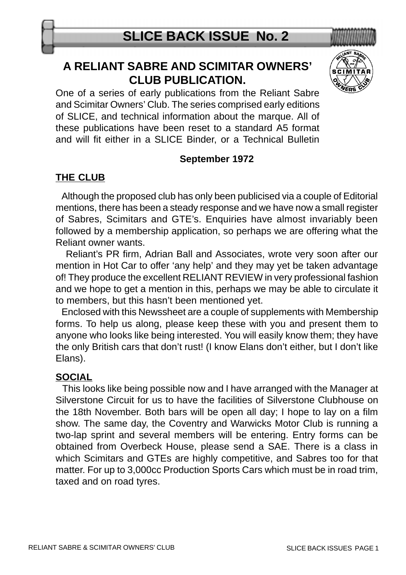# **A RELIANT SABRE AND SCIMITAR OWNERS' CLUB PUBLICATION.**



#### **September 1972**

## **THE CLUB**

 Although the proposed club has only been publicised via a couple of Editorial mentions, there has been a steady response and we have now a small register of Sabres, Scimitars and GTE's. Enquiries have almost invariably been followed by a membership application, so perhaps we are offering what the Reliant owner wants.

 Reliant's PR firm, Adrian Ball and Associates, wrote very soon after our mention in Hot Car to offer 'any help' and they may yet be taken advantage of! They produce the excellent RELIANT REVIEW in very professional fashion and we hope to get a mention in this, perhaps we may be able to circulate it to members, but this hasn't been mentioned yet.

 Enclosed with this Newssheet are a couple of supplements with Membership forms. To help us along, please keep these with you and present them to anyone who looks like being interested. You will easily know them; they have the only British cars that don't rust! (I know Elans don't either, but I don't like Elans).

#### **SOCIAL**

 This looks like being possible now and I have arranged with the Manager at Silverstone Circuit for us to have the facilities of Silverstone Clubhouse on the 18th November. Both bars will be open all day; I hope to lay on a film show. The same day, the Coventry and Warwicks Motor Club is running a two-lap sprint and several members will be entering. Entry forms can be obtained from Overbeck House, please send a SAE. There is a class in which Scimitars and GTEs are highly competitive, and Sabres too for that matter. For up to 3,000cc Production Sports Cars which must be in road trim, taxed and on road tyres.